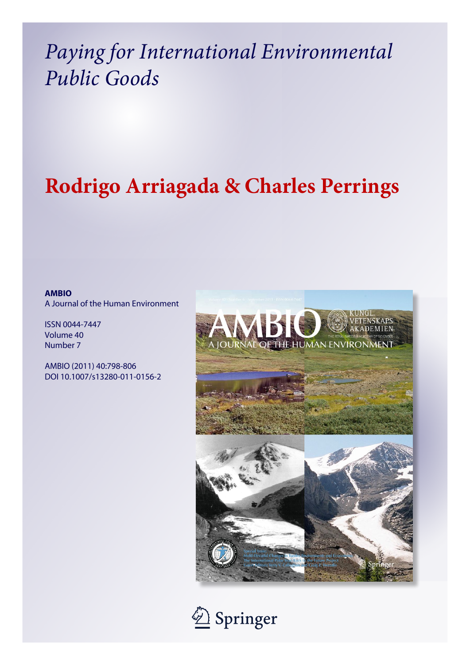# Paying for International Environmental **Public Goods**

# Rodrigo Arriagada & Charles Perrings

**AMBIO** A Journal of the Human Environment

ISSN 0044-7447 Volume 40 Number<sub>7</sub>

AMBIO (2011) 40:798-806 DOI 10.1007/s13280-011-0156-2



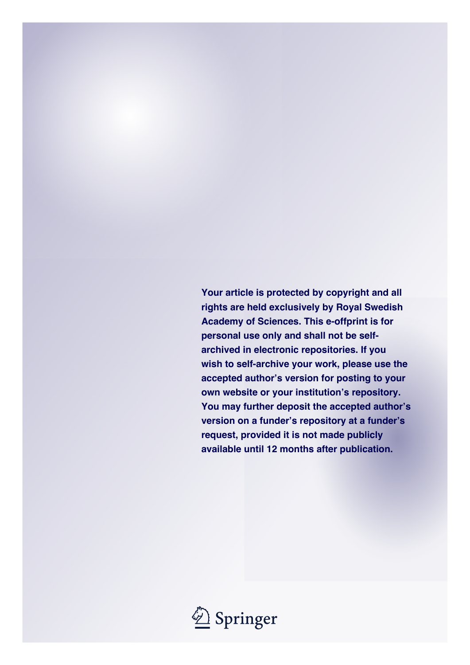**Your article is protected by copyright and all rights are held exclusively by Royal Swedish Academy of Sciences. This e-offprint is for personal use only and shall not be selfarchived in electronic repositories. If you wish to self-archive your work, please use the accepted author's version for posting to your own website or your institution's repository. You may further deposit the accepted author's version on a funder's repository at a funder's request, provided it is not made publicly available until 12 months after publication.**

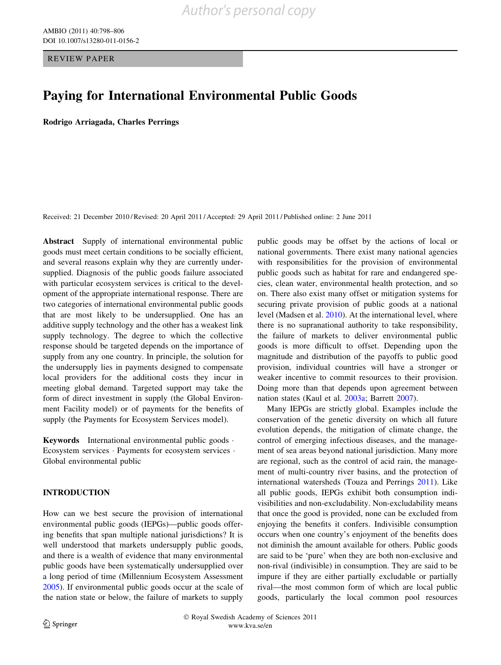REVIEW PAPER

# Paying for International Environmental Public Goods

Rodrigo Arriagada, Charles Perrings

Received: 21 December 2010 / Revised: 20 April 2011 / Accepted: 29 April 2011 / Published online: 2 June 2011

Abstract Supply of international environmental public goods must meet certain conditions to be socially efficient, and several reasons explain why they are currently undersupplied. Diagnosis of the public goods failure associated with particular ecosystem services is critical to the development of the appropriate international response. There are two categories of international environmental public goods that are most likely to be undersupplied. One has an additive supply technology and the other has a weakest link supply technology. The degree to which the collective response should be targeted depends on the importance of supply from any one country. In principle, the solution for the undersupply lies in payments designed to compensate local providers for the additional costs they incur in meeting global demand. Targeted support may take the form of direct investment in supply (the Global Environment Facility model) or of payments for the benefits of supply (the Payments for Ecosystem Services model).

**Keywords** International environmental public goods  $\cdot$ Ecosystem services  $\cdot$  Payments for ecosystem services  $\cdot$ Global environmental public

#### INTRODUCTION

How can we best secure the provision of international environmental public goods (IEPGs)—public goods offering benefits that span multiple national jurisdictions? It is well understood that markets undersupply public goods, and there is a wealth of evidence that many environmental public goods have been systematically undersupplied over a long period of time (Millennium Ecosystem Assessment [2005\)](#page-10-0). If environmental public goods occur at the scale of the nation state or below, the failure of markets to supply

public goods may be offset by the actions of local or national governments. There exist many national agencies with responsibilities for the provision of environmental public goods such as habitat for rare and endangered species, clean water, environmental health protection, and so on. There also exist many offset or mitigation systems for securing private provision of public goods at a national level (Madsen et al. [2010](#page-10-0)). At the international level, where there is no supranational authority to take responsibility, the failure of markets to deliver environmental public goods is more difficult to offset. Depending upon the magnitude and distribution of the payoffs to public good provision, individual countries will have a stronger or weaker incentive to commit resources to their provision. Doing more than that depends upon agreement between nation states (Kaul et al. [2003a](#page-9-0); Barrett [2007\)](#page-9-0).

Many IEPGs are strictly global. Examples include the conservation of the genetic diversity on which all future evolution depends, the mitigation of climate change, the control of emerging infectious diseases, and the management of sea areas beyond national jurisdiction. Many more are regional, such as the control of acid rain, the management of multi-country river basins, and the protection of international watersheds (Touza and Perrings [2011](#page-10-0)). Like all public goods, IEPGs exhibit both consumption indivisibilities and non-excludability. Non-excludability means that once the good is provided, none can be excluded from enjoying the benefits it confers. Indivisible consumption occurs when one country's enjoyment of the benefits does not diminish the amount available for others. Public goods are said to be 'pure' when they are both non-exclusive and non-rival (indivisible) in consumption. They are said to be impure if they are either partially excludable or partially rival—the most common form of which are local public goods, particularly the local common pool resources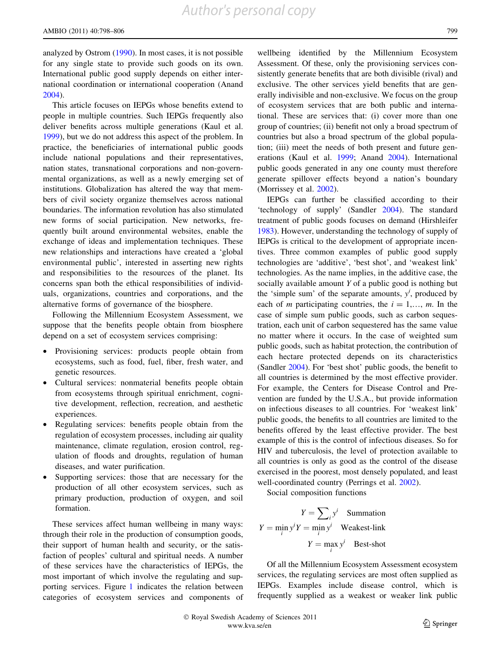analyzed by Ostrom [\(1990](#page-10-0)). In most cases, it is not possible for any single state to provide such goods on its own. International public good supply depends on either international coordination or international cooperation (Anand [2004\)](#page-9-0).

This article focuses on IEPGs whose benefits extend to people in multiple countries. Such IEPGs frequently also deliver benefits across multiple generations (Kaul et al. [1999\)](#page-9-0), but we do not address this aspect of the problem. In practice, the beneficiaries of international public goods include national populations and their representatives, nation states, transnational corporations and non-governmental organizations, as well as a newly emerging set of institutions. Globalization has altered the way that members of civil society organize themselves across national boundaries. The information revolution has also stimulated new forms of social participation. New networks, frequently built around environmental websites, enable the exchange of ideas and implementation techniques. These new relationships and interactions have created a 'global environmental public', interested in asserting new rights and responsibilities to the resources of the planet. Its concerns span both the ethical responsibilities of individuals, organizations, countries and corporations, and the alternative forms of governance of the biosphere.

Following the Millennium Ecosystem Assessment, we suppose that the benefits people obtain from biosphere depend on a set of ecosystem services comprising:

- Provisioning services: products people obtain from ecosystems, such as food, fuel, fiber, fresh water, and genetic resources.
- Cultural services: nonmaterial benefits people obtain from ecosystems through spiritual enrichment, cognitive development, reflection, recreation, and aesthetic experiences.
- Regulating services: benefits people obtain from the regulation of ecosystem processes, including air quality maintenance, climate regulation, erosion control, regulation of floods and droughts, regulation of human diseases, and water purification.
- Supporting services: those that are necessary for the production of all other ecosystem services, such as primary production, production of oxygen, and soil formation.

These services affect human wellbeing in many ways: through their role in the production of consumption goods, their support of human health and security, or the satisfaction of peoples' cultural and spiritual needs. A number of these services have the characteristics of IEPGs, the most important of which involve the regulating and supporting services. Figure [1](#page-4-0) indicates the relation between categories of ecosystem services and components of

wellbeing identified by the Millennium Ecosystem Assessment. Of these, only the provisioning services consistently generate benefits that are both divisible (rival) and exclusive. The other services yield benefits that are generally indivisible and non-exclusive. We focus on the group of ecosystem services that are both public and international. These are services that: (i) cover more than one group of countries; (ii) benefit not only a broad spectrum of countries but also a broad spectrum of the global population; (iii) meet the needs of both present and future generations (Kaul et al. [1999;](#page-9-0) Anand [2004](#page-9-0)). International public goods generated in any one county must therefore generate spillover effects beyond a nation's boundary (Morrissey et al. [2002\)](#page-10-0).

IEPGs can further be classified according to their 'technology of supply' (Sandler [2004\)](#page-10-0). The standard treatment of public goods focuses on demand (Hirshleifer [1983](#page-9-0)). However, understanding the technology of supply of IEPGs is critical to the development of appropriate incentives. Three common examples of public good supply technologies are 'additive', 'best shot', and 'weakest link' technologies. As the name implies, in the additive case, the socially available amount Y of a public good is nothing but the 'simple sum' of the separate amounts,  $y^i$ , produced by each of *m* participating countries, the  $i = 1, \ldots, m$ . In the case of simple sum public goods, such as carbon sequestration, each unit of carbon sequestered has the same value no matter where it occurs. In the case of weighted sum public goods, such as habitat protection, the contribution of each hectare protected depends on its characteristics (Sandler [2004\)](#page-10-0). For 'best shot' public goods, the benefit to all countries is determined by the most effective provider. For example, the Centers for Disease Control and Prevention are funded by the U.S.A., but provide information on infectious diseases to all countries. For 'weakest link' public goods, the benefits to all countries are limited to the benefits offered by the least effective provider. The best example of this is the control of infectious diseases. So for HIV and tuberculosis, the level of protection available to all countries is only as good as the control of the disease exercised in the poorest, most densely populated, and least well-coordinated country (Perrings et al. [2002\)](#page-10-0).

Social composition functions

 $Y = \sum_i y^i$  Summation  $Y = \min_i y^i Y = \min_i y^i$  Weakest-link  $Y = \max_i y^i$  Best-shot

Of all the Millennium Ecosystem Assessment ecosystem services, the regulating services are most often supplied as IEPGs. Examples include disease control, which is frequently supplied as a weakest or weaker link public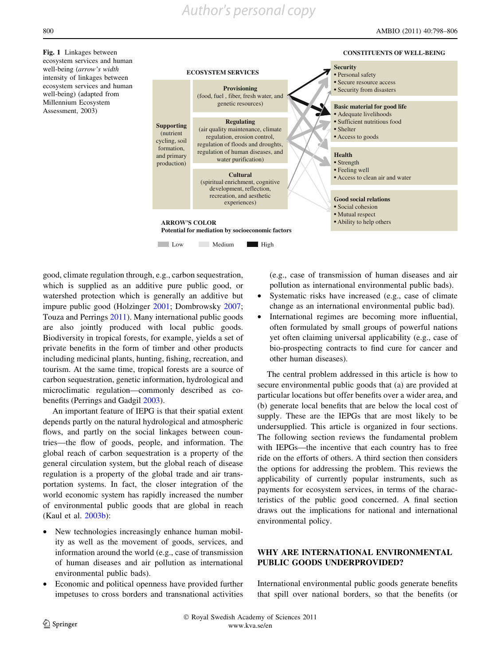Fig. 1 Linkages between ecosystem services and human well-being (arrow's width intensity of linkages between ecosystem services and human well-being) (adapted from Millennium Ecosystem Assessment, 2003)





good, climate regulation through, e.g., carbon sequestration, which is supplied as an additive pure public good, or watershed protection which is generally an additive but impure public good (Holzinger [2001](#page-9-0); Dombrowsky [2007](#page-9-0); Touza and Perrings [2011\)](#page-10-0). Many international public goods are also jointly produced with local public goods. Biodiversity in tropical forests, for example, yields a set of private benefits in the form of timber and other products including medicinal plants, hunting, fishing, recreation, and tourism. At the same time, tropical forests are a source of carbon sequestration, genetic information, hydrological and microclimatic regulation—commonly described as cobenefits (Perrings and Gadgil [2003](#page-10-0)).

An important feature of IEPG is that their spatial extent depends partly on the natural hydrological and atmospheric flows, and partly on the social linkages between countries—the flow of goods, people, and information. The global reach of carbon sequestration is a property of the general circulation system, but the global reach of disease regulation is a property of the global trade and air transportation systems. In fact, the closer integration of the world economic system has rapidly increased the number of environmental public goods that are global in reach (Kaul et al. [2003b\)](#page-9-0):

- New technologies increasingly enhance human mobility as well as the movement of goods, services, and information around the world (e.g., case of transmission of human diseases and air pollution as international environmental public bads).
- <span id="page-4-0"></span>• Economic and political openness have provided further impetuses to cross borders and transnational activities

(e.g., case of transmission of human diseases and air pollution as international environmental public bads).

- Systematic risks have increased (e.g., case of climate change as an international environmental public bad).
- International regimes are becoming more influential, often formulated by small groups of powerful nations yet often claiming universal applicability (e.g., case of bio-prospecting contracts to find cure for cancer and other human diseases).

The central problem addressed in this article is how to secure environmental public goods that (a) are provided at particular locations but offer benefits over a wider area, and (b) generate local benefits that are below the local cost of supply. These are the IEPGs that are most likely to be undersupplied. This article is organized in four sections. The following section reviews the fundamental problem with IEPGs—the incentive that each country has to free ride on the efforts of others. A third section then considers the options for addressing the problem. This reviews the applicability of currently popular instruments, such as payments for ecosystem services, in terms of the characteristics of the public good concerned. A final section draws out the implications for national and international environmental policy.

### WHY ARE INTERNATIONAL ENVIRONMENTAL PUBLIC GOODS UNDERPROVIDED?

International environmental public goods generate benefits that spill over national borders, so that the benefits (or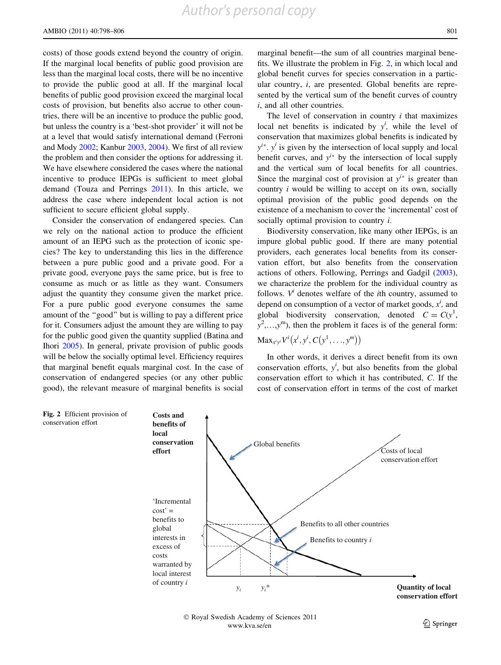costs) of those goods extend beyond the country of origin. If the marginal local benefits of public good provision are less than the marginal local costs, there will be no incentive to provide the public good at all. If the marginal local benefits of public good provision exceed the marginal local costs of provision, but benefits also accrue to other countries, there will be an incentive to produce the public good, but unless the country is a 'best-shot provider' it will not be at a level that would satisfy international demand (Ferroni and Mody [2002](#page-9-0); Kanbur [2003](#page-9-0), [2004](#page-9-0)). We first of all review the problem and then consider the options for addressing it. We have elsewhere considered the cases where the national incentive to produce IEPGs is sufficient to meet global demand (Touza and Perrings [2011](#page-10-0)). In this article, we address the case where independent local action is not sufficient to secure efficient global supply.

Consider the conservation of endangered species. Can we rely on the national action to produce the efficient amount of an IEPG such as the protection of iconic species? The key to understanding this lies in the difference between a pure public good and a private good. For a private good, everyone pays the same price, but is free to consume as much or as little as they want. Consumers adjust the quantity they consume given the market price. For a pure public good everyone consumes the same amount of the ''good'' but is willing to pay a different price for it. Consumers adjust the amount they are willing to pay for the public good given the quantity supplied (Batina and Ihori [2005](#page-9-0)). In general, private provision of public goods will be below the socially optimal level. Efficiency requires that marginal benefit equals marginal cost. In the case of conservation of endangered species (or any other public good), the relevant measure of marginal benefits is social marginal benefit—the sum of all countries marginal benefits. We illustrate the problem in Fig. [2](#page-5-0), in which local and global benefit curves for species conservation in a particular country, i, are presented. Global benefits are represented by the vertical sum of the benefit curves of country i, and all other countries.

The level of conservation in country  $i$  that maximizes local net benefits is indicated by  $y^i$ , while the level of conservation that maximizes global benefits is indicated by  $y^{i*}$ .  $y^{i}$  is given by the intersection of local supply and local benefit curves, and  $y^{i*}$  by the intersection of local supply and the vertical sum of local benefits for all countries. Since the marginal cost of provision at  $y^{i*}$  is greater than country  $i$  would be willing to accept on its own, socially optimal provision of the public good depends on the existence of a mechanism to cover the 'incremental' cost of socially optimal provision to country *i*.

Biodiversity conservation, like many other IEPGs, is an impure global public good. If there are many potential providers, each generates local benefits from its conservation effort, but also benefits from the conservation actions of others. Following, Perrings and Gadgil [\(2003](#page-10-0)), we characterize the problem for the individual country as follows.  $V^i$  denotes welfare of the *i*th country, assumed to depend on consumption of a vector of market goods,  $x^i$ , and global biodiversity conservation, denoted  $C = C(y^1,$  $y^2,...,y^m$ ), then the problem it faces is of the general form:  $\text{Max}_{x^i y^i} V^i(x^i, y^i, C(y^1, ..., y^m))$ 

In other words, it derives a direct benefit from its own conservation efforts,  $y^i$ , but also benefits from the global conservation effort to which it has contributed, C. If the cost of conservation effort in terms of the cost of market



<span id="page-5-0"></span> $©$  Royal Swedish Academy of Sciences 2011 www.kva.se/en  $\bigotimes$  Springer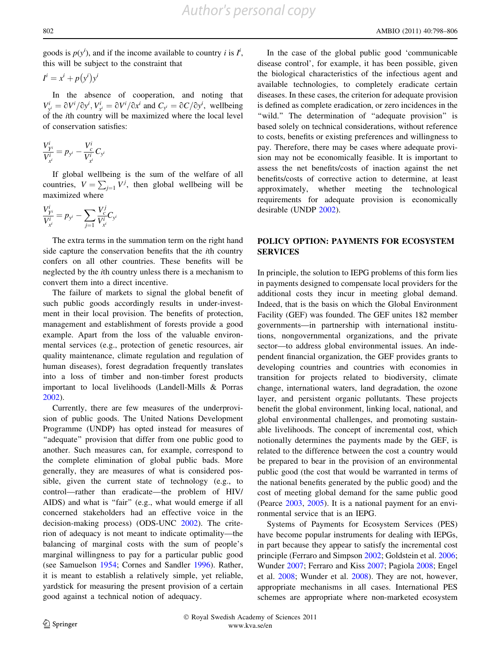goods is  $p(y^i)$ , and if the income available to country *i* is  $I^i$ , this will be subject to the constraint that

$$
I^i = x^i + p(y^i)y^i
$$

In the absence of cooperation, and noting that  $V_{y^i}^i = \partial V^i / \partial y^i$ ,  $V_{x^i}^i = \partial V^i / \partial x^i$  and  $C_{y^i} = \partial C / \partial y^i$ , wellbeing of the ith country will be maximized where the local level of conservation satisfies:

$$
\frac{V_{Y^i}^i}{V_{x^i}^i} = p_{y^i} - \frac{V_c^i}{V_{x^i}^i} C_{y^i}
$$

If global wellbeing is the sum of the welfare of all countries,  $V = \sum_{j=1} V^j$ , then global wellbeing will be maximized where

$$
\frac{V_{Y^i}^i}{V_{x^i}^i} = p_{y^i} - \sum_{j=1} \frac{V_c^j}{V_{x^i}^i} C_{y^i}
$$

The extra terms in the summation term on the right hand side capture the conservation benefits that the ith country confers on all other countries. These benefits will be neglected by the ith country unless there is a mechanism to convert them into a direct incentive.

The failure of markets to signal the global benefit of such public goods accordingly results in under-investment in their local provision. The benefits of protection, management and establishment of forests provide a good example. Apart from the loss of the valuable environmental services (e.g., protection of genetic resources, air quality maintenance, climate regulation and regulation of human diseases), forest degradation frequently translates into a loss of timber and non-timber forest products important to local livelihoods (Landell-Mills & Porras [2002\)](#page-9-0).

Currently, there are few measures of the underprovision of public goods. The United Nations Development Programme (UNDP) has opted instead for measures of "adequate" provision that differ from one public good to another. Such measures can, for example, correspond to the complete elimination of global public bads. More generally, they are measures of what is considered possible, given the current state of technology (e.g., to control—rather than eradicate—the problem of HIV/ AIDS) and what is "fair" (e.g., what would emerge if all concerned stakeholders had an effective voice in the decision-making process) (ODS-UNC [2002](#page-10-0)). The criterion of adequacy is not meant to indicate optimality—the balancing of marginal costs with the sum of people's marginal willingness to pay for a particular public good (see Samuelson [1954;](#page-10-0) Cornes and Sandler [1996](#page-9-0)). Rather, it is meant to establish a relatively simple, yet reliable, yardstick for measuring the present provision of a certain good against a technical notion of adequacy.

In the case of the global public good 'communicable disease control', for example, it has been possible, given the biological characteristics of the infectious agent and available technologies, to completely eradicate certain diseases. In these cases, the criterion for adequate provision is defined as complete eradication, or zero incidences in the "wild." The determination of "adequate provision" is based solely on technical considerations, without reference to costs, benefits or existing preferences and willingness to pay. Therefore, there may be cases where adequate provision may not be economically feasible. It is important to assess the net benefits/costs of inaction against the net benefits/costs of corrective action to determine, at least approximately, whether meeting the technological requirements for adequate provision is economically desirable (UNDP [2002](#page-10-0)).

### POLICY OPTION: PAYMENTS FOR ECOSYSTEM SERVICES

In principle, the solution to IEPG problems of this form lies in payments designed to compensate local providers for the additional costs they incur in meeting global demand. Indeed, that is the basis on which the Global Environment Facility (GEF) was founded. The GEF unites 182 member governments—in partnership with international institutions, nongovernmental organizations, and the private sector—to address global environmental issues. An independent financial organization, the GEF provides grants to developing countries and countries with economies in transition for projects related to biodiversity, climate change, international waters, land degradation, the ozone layer, and persistent organic pollutants. These projects benefit the global environment, linking local, national, and global environmental challenges, and promoting sustainable livelihoods. The concept of incremental cost, which notionally determines the payments made by the GEF, is related to the difference between the cost a country would be prepared to bear in the provision of an environmental public good (the cost that would be warranted in terms of the national benefits generated by the public good) and the cost of meeting global demand for the same public good (Pearce [2003,](#page-10-0) [2005](#page-10-0)). It is a national payment for an environmental service that is an IEPG.

Systems of Payments for Ecosystem Services (PES) have become popular instruments for dealing with IEPGs, in part because they appear to satisfy the incremental cost principle (Ferraro and Simpson [2002](#page-9-0); Goldstein et al. [2006](#page-9-0); Wunder [2007](#page-10-0); Ferraro and Kiss [2007;](#page-9-0) Pagiola [2008](#page-10-0); Engel et al. [2008;](#page-9-0) Wunder et al. [2008](#page-10-0)). They are not, however, appropriate mechanisms in all cases. International PES schemes are appropriate where non-marketed ecosystem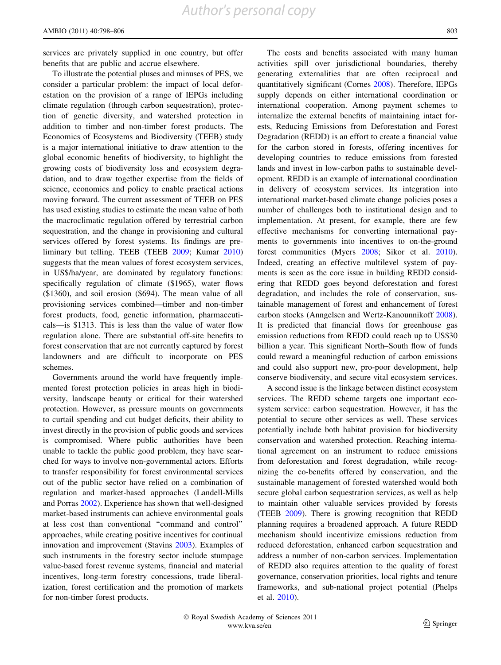services are privately supplied in one country, but offer benefits that are public and accrue elsewhere.

To illustrate the potential pluses and minuses of PES, we consider a particular problem: the impact of local deforestation on the provision of a range of IEPGs including climate regulation (through carbon sequestration), protection of genetic diversity, and watershed protection in addition to timber and non-timber forest products. The Economics of Ecosystems and Biodiversity (TEEB) study is a major international initiative to draw attention to the global economic benefits of biodiversity, to highlight the growing costs of biodiversity loss and ecosystem degradation, and to draw together expertise from the fields of science, economics and policy to enable practical actions moving forward. The current assessment of TEEB on PES has used existing studies to estimate the mean value of both the macroclimatic regulation offered by terrestrial carbon sequestration, and the change in provisioning and cultural services offered by forest systems. Its findings are preliminary but telling. TEEB (TEEB [2009](#page-10-0); Kumar [2010\)](#page-9-0) suggests that the mean values of forest ecosystem services, in US\$/ha/year, are dominated by regulatory functions: specifically regulation of climate (\$1965), water flows (\$1360), and soil erosion (\$694). The mean value of all provisioning services combined—timber and non-timber forest products, food, genetic information, pharmaceuticals—is \$1313. This is less than the value of water flow regulation alone. There are substantial off-site benefits to forest conservation that are not currently captured by forest landowners and are difficult to incorporate on PES schemes.

Governments around the world have frequently implemented forest protection policies in areas high in biodiversity, landscape beauty or critical for their watershed protection. However, as pressure mounts on governments to curtail spending and cut budget deficits, their ability to invest directly in the provision of public goods and services is compromised. Where public authorities have been unable to tackle the public good problem, they have searched for ways to involve non-governmental actors. Efforts to transfer responsibility for forest environmental services out of the public sector have relied on a combination of regulation and market-based approaches (Landell-Mills and Porras [2002\)](#page-9-0). Experience has shown that well-designed market-based instruments can achieve environmental goals at less cost than conventional ''command and control'' approaches, while creating positive incentives for continual innovation and improvement (Stavins [2003](#page-10-0)). Examples of such instruments in the forestry sector include stumpage value-based forest revenue systems, financial and material incentives, long-term forestry concessions, trade liberalization, forest certification and the promotion of markets for non-timber forest products.

The costs and benefits associated with many human activities spill over jurisdictional boundaries, thereby generating externalities that are often reciprocal and quantitatively significant (Cornes [2008](#page-9-0)). Therefore, IEPGs supply depends on either international coordination or international cooperation. Among payment schemes to internalize the external benefits of maintaining intact forests, Reducing Emissions from Deforestation and Forest Degradation (REDD) is an effort to create a financial value for the carbon stored in forests, offering incentives for developing countries to reduce emissions from forested lands and invest in low-carbon paths to sustainable development. REDD is an example of international coordination in delivery of ecosystem services. Its integration into international market-based climate change policies poses a number of challenges both to institutional design and to implementation. At present, for example, there are few effective mechanisms for converting international payments to governments into incentives to on-the-ground forest communities (Myers [2008;](#page-10-0) Sikor et al. [2010](#page-10-0)). Indeed, creating an effective multilevel system of payments is seen as the core issue in building REDD considering that REDD goes beyond deforestation and forest degradation, and includes the role of conservation, sustainable management of forest and enhancement of forest carbon stocks (Anngelsen and Wertz-Kanounnikoff [2008](#page-9-0)). It is predicted that financial flows for greenhouse gas emission reductions from REDD could reach up to US\$30 billion a year. This significant North–South flow of funds could reward a meaningful reduction of carbon emissions and could also support new, pro-poor development, help conserve biodiversity, and secure vital ecosystem services.

A second issue is the linkage between distinct ecosystem services. The REDD scheme targets one important ecosystem service: carbon sequestration. However, it has the potential to secure other services as well. These services potentially include both habitat provision for biodiversity conservation and watershed protection. Reaching international agreement on an instrument to reduce emissions from deforestation and forest degradation, while recognizing the co-benefits offered by conservation, and the sustainable management of forested watershed would both secure global carbon sequestration services, as well as help to maintain other valuable services provided by forests (TEEB [2009](#page-10-0)). There is growing recognition that REDD planning requires a broadened approach. A future REDD mechanism should incentivize emissions reduction from reduced deforestation, enhanced carbon sequestration and address a number of non-carbon services. Implementation of REDD also requires attention to the quality of forest governance, conservation priorities, local rights and tenure frameworks, and sub-national project potential (Phelps et al. [2010\)](#page-10-0).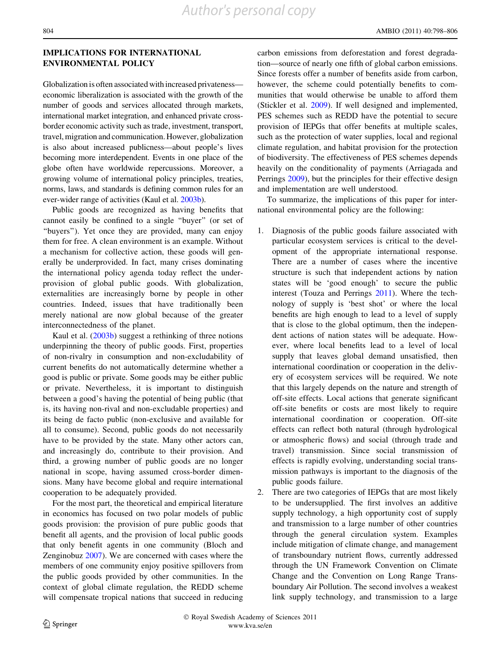## IMPLICATIONS FOR INTERNATIONAL ENVIRONMENTAL POLICY

Globalization is often associated with increased privateness economic liberalization is associated with the growth of the number of goods and services allocated through markets, international market integration, and enhanced private crossborder economic activity such as trade, investment, transport, travel, migration and communication. However, globalization is also about increased publicness—about people's lives becoming more interdependent. Events in one place of the globe often have worldwide repercussions. Moreover, a growing volume of international policy principles, treaties, norms, laws, and standards is defining common rules for an ever-wider range of activities (Kaul et al. [2003b](#page-9-0)).

Public goods are recognized as having benefits that cannot easily be confined to a single ''buyer'' (or set of "buyers"). Yet once they are provided, many can enjoy them for free. A clean environment is an example. Without a mechanism for collective action, these goods will generally be underprovided. In fact, many crises dominating the international policy agenda today reflect the underprovision of global public goods. With globalization, externalities are increasingly borne by people in other countries. Indeed, issues that have traditionally been merely national are now global because of the greater interconnectedness of the planet.

Kaul et al. ([2003b\)](#page-9-0) suggest a rethinking of three notions underpinning the theory of public goods. First, properties of non-rivalry in consumption and non-excludability of current benefits do not automatically determine whether a good is public or private. Some goods may be either public or private. Nevertheless, it is important to distinguish between a good's having the potential of being public (that is, its having non-rival and non-excludable properties) and its being de facto public (non-exclusive and available for all to consume). Second, public goods do not necessarily have to be provided by the state. Many other actors can, and increasingly do, contribute to their provision. And third, a growing number of public goods are no longer national in scope, having assumed cross-border dimensions. Many have become global and require international cooperation to be adequately provided.

For the most part, the theoretical and empirical literature in economics has focused on two polar models of public goods provision: the provision of pure public goods that benefit all agents, and the provision of local public goods that only benefit agents in one community (Bloch and Zenginobuz [2007](#page-9-0)). We are concerned with cases where the members of one community enjoy positive spillovers from the public goods provided by other communities. In the context of global climate regulation, the REDD scheme will compensate tropical nations that succeed in reducing carbon emissions from deforestation and forest degradation—source of nearly one fifth of global carbon emissions. Since forests offer a number of benefits aside from carbon, however, the scheme could potentially benefits to communities that would otherwise be unable to afford them (Stickler et al. [2009\)](#page-10-0). If well designed and implemented, PES schemes such as REDD have the potential to secure provision of IEPGs that offer benefits at multiple scales, such as the protection of water supplies, local and regional climate regulation, and habitat provision for the protection of biodiversity. The effectiveness of PES schemes depends heavily on the conditionality of payments (Arriagada and Perrings [2009](#page-9-0)), but the principles for their effective design and implementation are well understood.

To summarize, the implications of this paper for international environmental policy are the following:

- 1. Diagnosis of the public goods failure associated with particular ecosystem services is critical to the development of the appropriate international response. There are a number of cases where the incentive structure is such that independent actions by nation states will be 'good enough' to secure the public interest (Touza and Perrings [2011](#page-10-0)). Where the technology of supply is 'best shot' or where the local benefits are high enough to lead to a level of supply that is close to the global optimum, then the independent actions of nation states will be adequate. However, where local benefits lead to a level of local supply that leaves global demand unsatisfied, then international coordination or cooperation in the delivery of ecosystem services will be required. We note that this largely depends on the nature and strength of off-site effects. Local actions that generate significant off-site benefits or costs are most likely to require international coordination or cooperation. Off-site effects can reflect both natural (through hydrological or atmospheric flows) and social (through trade and travel) transmission. Since social transmission of effects is rapidly evolving, understanding social transmission pathways is important to the diagnosis of the public goods failure.
- 2. There are two categories of IEPGs that are most likely to be undersupplied. The first involves an additive supply technology, a high opportunity cost of supply and transmission to a large number of other countries through the general circulation system. Examples include mitigation of climate change, and management of transboundary nutrient flows, currently addressed through the UN Framework Convention on Climate Change and the Convention on Long Range Transboundary Air Pollution. The second involves a weakest link supply technology, and transmission to a large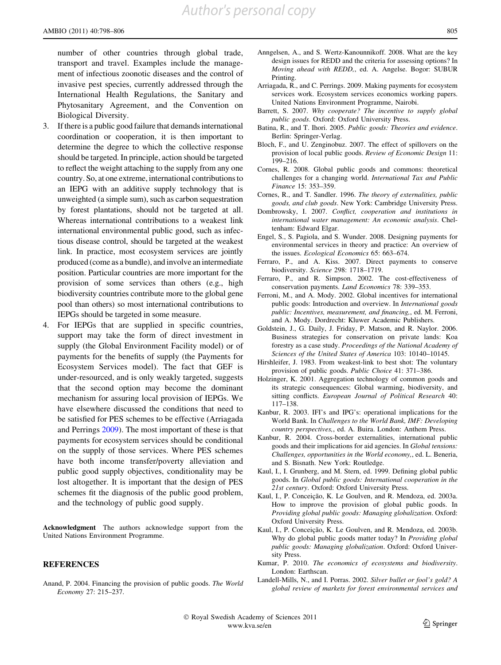number of other countries through global trade, transport and travel. Examples include the management of infectious zoonotic diseases and the control of invasive pest species, currently addressed through the International Health Regulations, the Sanitary and Phytosanitary Agreement, and the Convention on Biological Diversity.

- 3. If there is a public good failure that demands international coordination or cooperation, it is then important to determine the degree to which the collective response should be targeted. In principle, action should be targeted to reflect the weight attaching to the supply from any one country. So, at one extreme, international contributions to an IEPG with an additive supply technology that is unweighted (a simple sum), such as carbon sequestration by forest plantations, should not be targeted at all. Whereas international contributions to a weakest link international environmental public good, such as infectious disease control, should be targeted at the weakest link. In practice, most ecosystem services are jointly produced (come as a bundle), and involve an intermediate position. Particular countries are more important for the provision of some services than others (e.g., high biodiversity countries contribute more to the global gene pool than others) so most international contributions to IEPGs should be targeted in some measure.
- 4. For IEPGs that are supplied in specific countries, support may take the form of direct investment in supply (the Global Environment Facility model) or of payments for the benefits of supply (the Payments for Ecosystem Services model). The fact that GEF is under-resourced, and is only weakly targeted, suggests that the second option may become the dominant mechanism for assuring local provision of IEPGs. We have elsewhere discussed the conditions that need to be satisfied for PES schemes to be effective (Arriagada and Perrings [2009](#page-9-0)). The most important of these is that payments for ecosystem services should be conditional on the supply of those services. Where PES schemes have both income transfer/poverty alleviation and public good supply objectives, conditionality may be lost altogether. It is important that the design of PES schemes fit the diagnosis of the public good problem, and the technology of public good supply.

Acknowledgment The authors acknowledge support from the United Nations Environment Programme.

#### REFERENCES

<span id="page-9-0"></span>Anand, P. 2004. Financing the provision of public goods. The World Economy 27: 215–237.

- Anngelsen, A., and S. Wertz-Kanounnikoff. 2008. What are the key design issues for REDD and the criteria for assessing options? In Moving ahead with REDD,, ed. A. Angelse. Bogor: SUBUR Printing.
- Arriagada, R., and C. Perrings. 2009. Making payments for ecosystem services work. Ecosystem services economics working papers. United Nations Environment Programme, Nairobi.
- Barrett, S. 2007. Why cooperate? The incentive to supply global public goods. Oxford: Oxford University Press.
- Batina, R., and T. Ihori. 2005. Public goods: Theories and evidence. Berlin: Springer-Verlag.
- Bloch, F., and U. Zenginobuz. 2007. The effect of spillovers on the provision of local public goods. Review of Economic Design 11: 199–216.
- Cornes, R. 2008. Global public goods and commons: theoretical challenges for a changing world. International Tax and Public Finance 15: 353–359.
- Cornes, R., and T. Sandler. 1996. The theory of externalities, public goods, and club goods. New York: Cambridge University Press.
- Dombrowsky, I. 2007. Conflict, cooperation and institutions in international water management: An economic analysis. Cheltenham: Edward Elgar.
- Engel, S., S. Pagiola, and S. Wunder. 2008. Designing payments for environmental services in theory and practice: An overview of the issues. Ecological Economics 65: 663–674.
- Ferraro, P., and A. Kiss. 2007. Direct payments to conserve biodiversity. Science 298: 1718–1719.
- Ferraro, P., and R. Simpson. 2002. The cost-effectiveness of conservation payments. Land Economics 78: 339–353.
- Ferroni, M., and A. Mody. 2002. Global incentives for international public goods: Introduction and overview. In International goods public: Incentives, measurement, and financing,, ed. M. Ferroni, and A. Mody. Dordrecht: Kluwer Academic Publishers.
- Goldstein, J., G. Daily, J. Friday, P. Matson, and R. Naylor. 2006. Business strategies for conservation on private lands: Koa forestry as a case study. Proceedings of the National Academy of Sciences of the United States of America 103: 10140–10145.
- Hirshleifer, J. 1983. From weakest-link to best shot: The voluntary provision of public goods. Public Choice 41: 371–386.
- Holzinger, K. 2001. Aggregation technology of common goods and its strategic consequences: Global warming, biodiversity, and sitting conflicts. European Journal of Political Research 40: 117–138.
- Kanbur, R. 2003. IFI's and IPG's: operational implications for the World Bank. In Challenges to the World Bank, IMF: Developing country perspectives,, ed. A. Buira. London: Anthem Press.
- Kanbur, R. 2004. Cross-border externalities, international public goods and their implications for aid agencies. In Global tensions: Challenges, opportunities in the World economy,, ed. L. Beneria, and S. Bisnath. New York: Routledge.
- Kaul, I., I. Grunberg, and M. Stern, ed. 1999. Defining global public goods. In Global public goods: International cooperation in the 21st century. Oxford: Oxford University Press.
- Kaul, I., P. Conceição, K. Le Goulven, and R. Mendoza, ed. 2003a. How to improve the provision of global public goods. In Providing global public goods: Managing globalization. Oxford: Oxford University Press.
- Kaul, I., P. Conceição, K. Le Goulven, and R. Mendoza, ed. 2003b. Why do global public goods matter today? In *Providing global* public goods: Managing globalization. Oxford: Oxford University Press.
- Kumar, P. 2010. The economics of ecosystems and biodiversity. London: Earthscan.
- Landell-Mills, N., and I. Porras. 2002. Silver bullet or fool's gold? A global review of markets for forest environmental services and